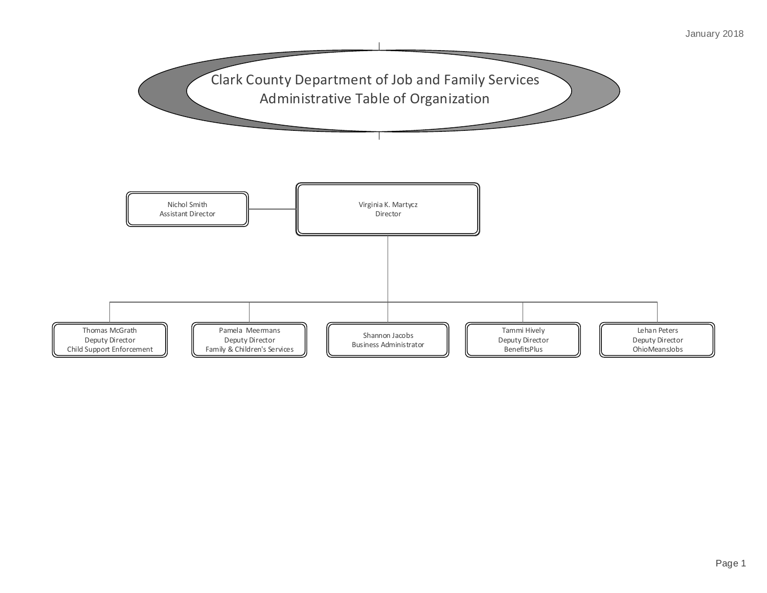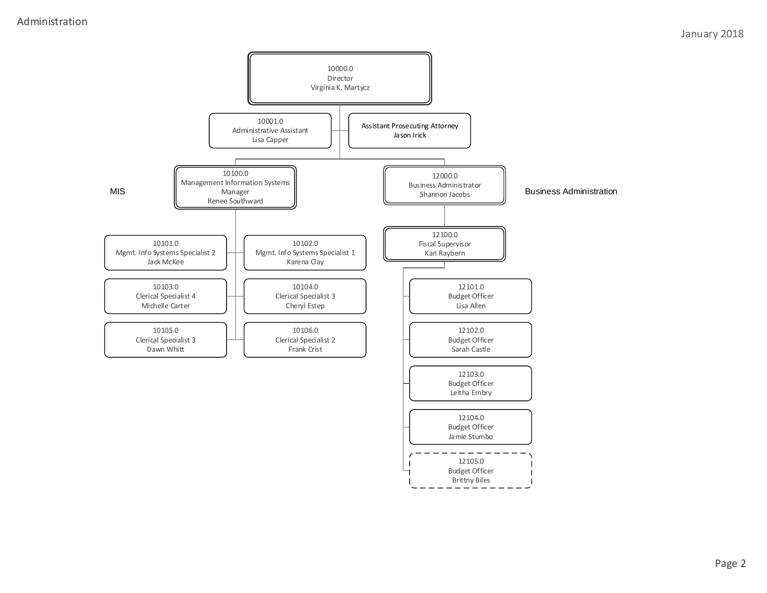## Administration

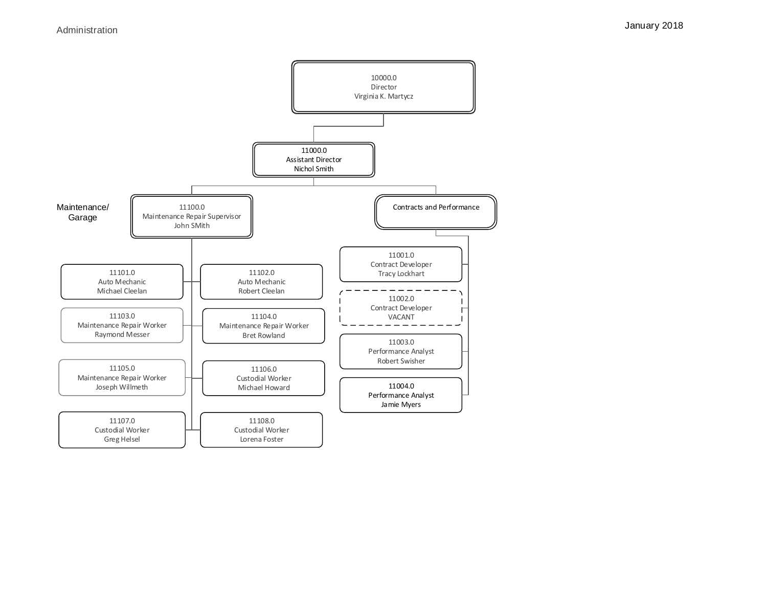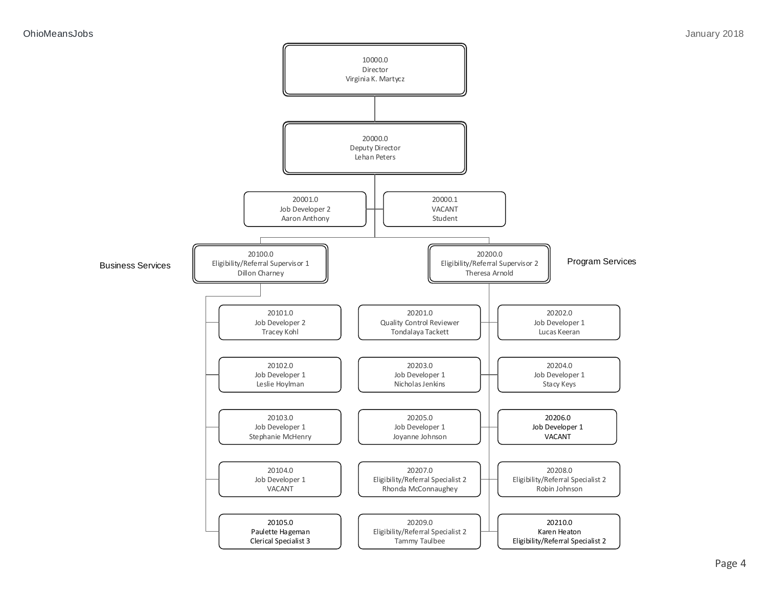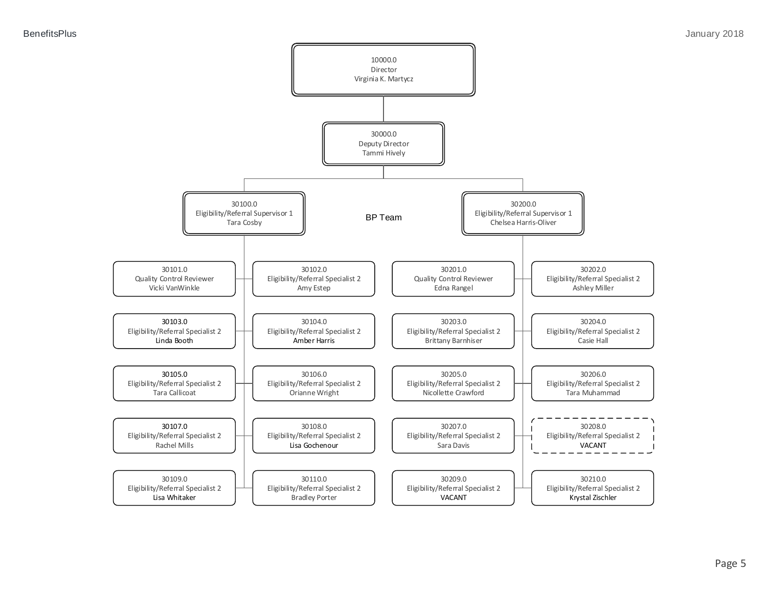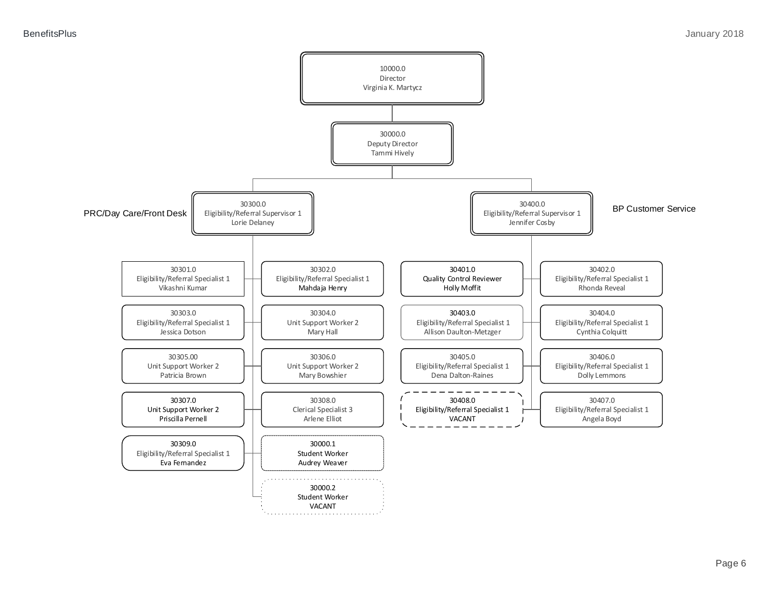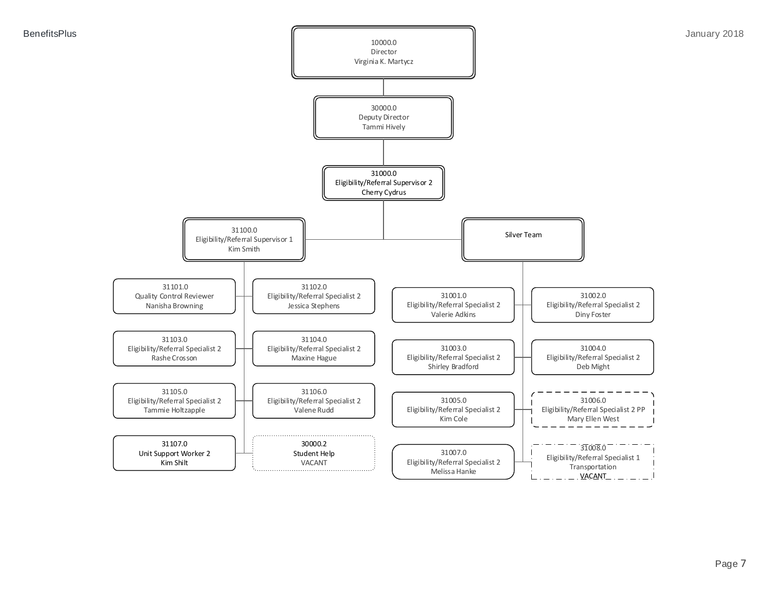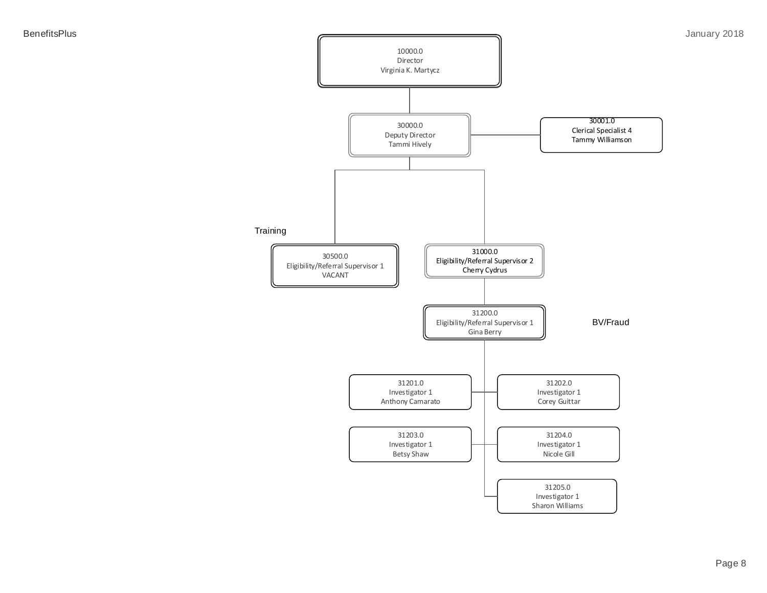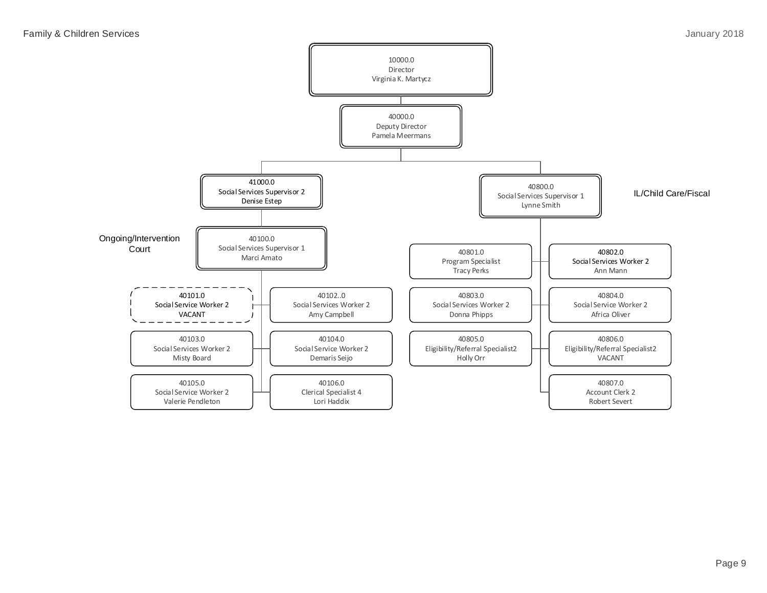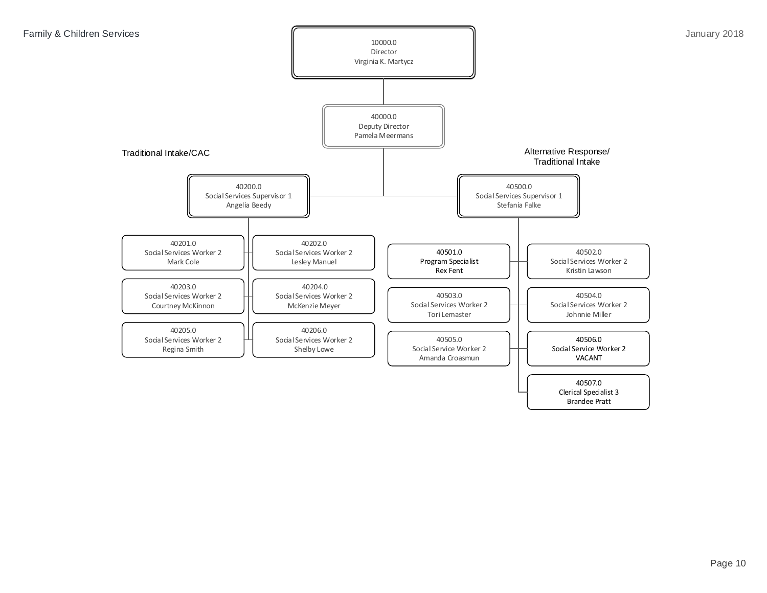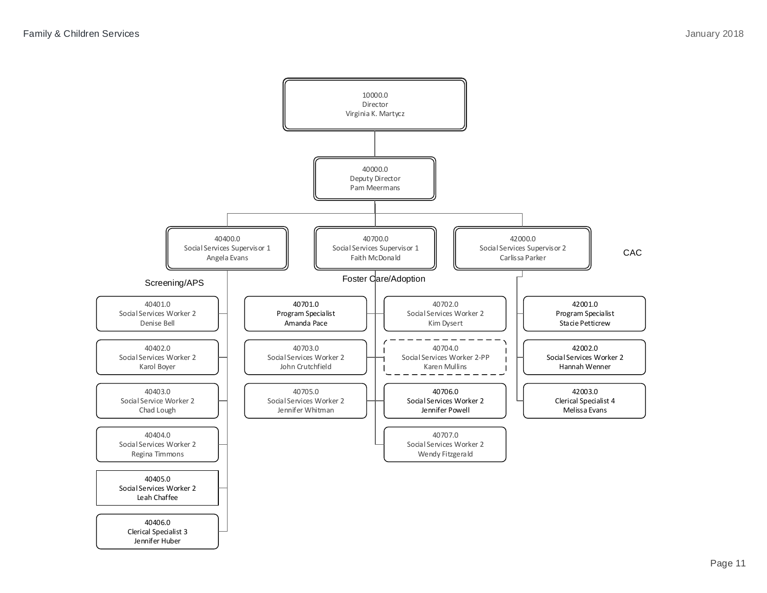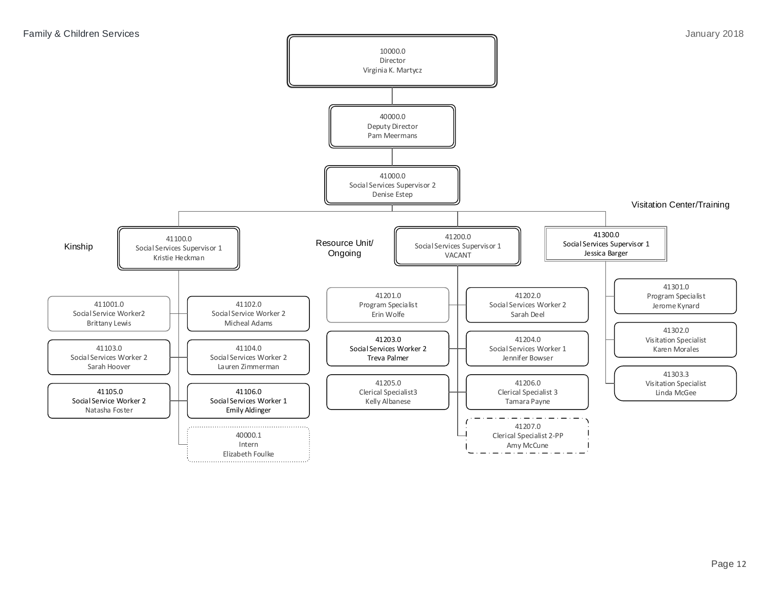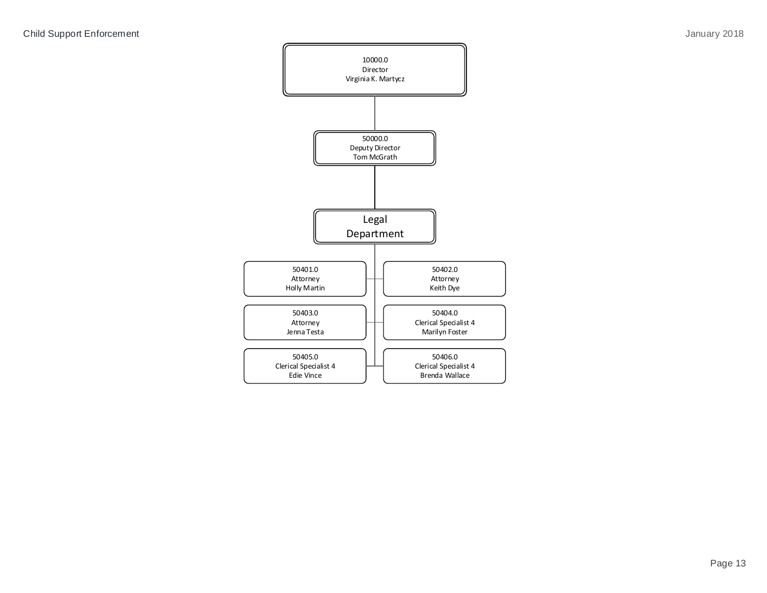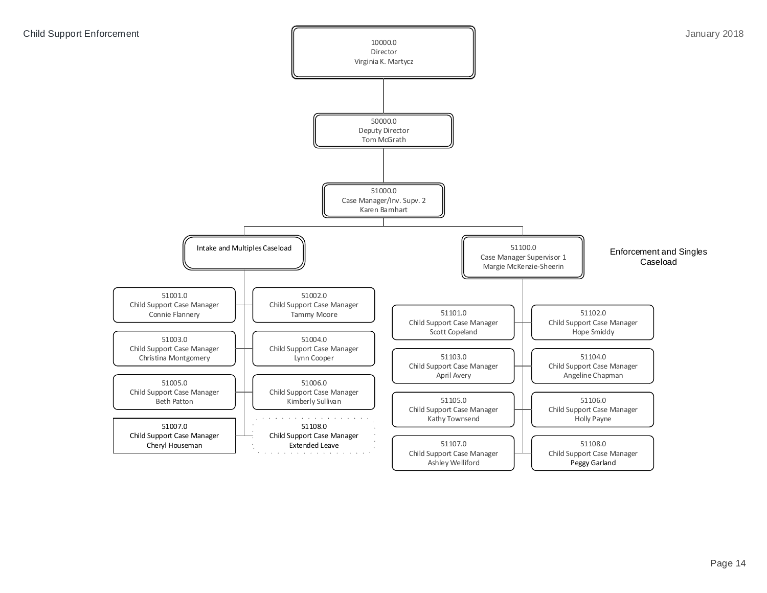